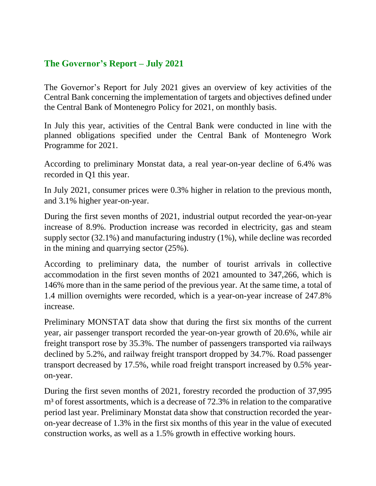## **The Governor's Report – July 2021**

The Governor's Report for July 2021 gives an overview of key activities of the Central Bank concerning the implementation of targets and objectives defined under the Central Bank of Montenegro Policy for 2021, on monthly basis.

In July this year, activities of the Central Bank were conducted in line with the planned obligations specified under the Central Bank of Montenegro Work Programme for 2021.

According to preliminary Monstat data, a real year-on-year decline of 6.4% was recorded in Q1 this year.

In July 2021, consumer prices were 0.3% higher in relation to the previous month, and 3.1% higher year-on-year.

During the first seven months of 2021, industrial output recorded the year-on-year increase of 8.9%. Production increase was recorded in electricity, gas and steam supply sector (32.1%) and manufacturing industry (1%), while decline was recorded in the mining and quarrying sector (25%).

According to preliminary data, the number of tourist arrivals in collective accommodation in the first seven months of 2021 amounted to 347,266, which is 146% more than in the same period of the previous year. At the same time, a total of 1.4 million overnights were recorded, which is a year-on-year increase of 247.8% increase.

Preliminary MONSTAT data show that during the first six months of the current year, air passenger transport recorded the year-on-year growth of 20.6%, while air freight transport rose by 35.3%. The number of passengers transported via railways declined by 5.2%, and railway freight transport dropped by 34.7%. Road passenger transport decreased by 17.5%, while road freight transport increased by 0.5% yearon-year.

During the first seven months of 2021, forestry recorded the production of 37,995 m<sup>3</sup> of forest assortments, which is a decrease of 72.3% in relation to the comparative period last year. Preliminary Monstat data show that construction recorded the yearon-year decrease of 1.3% in the first six months of this year in the value of executed construction works, as well as a 1.5% growth in effective working hours.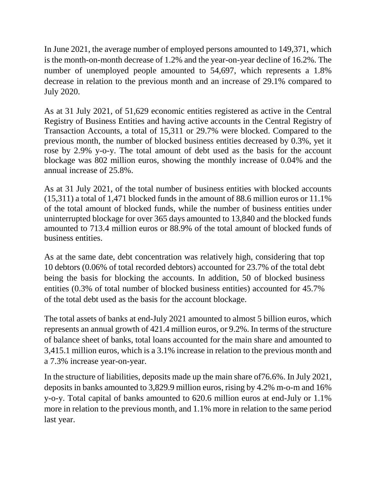In June 2021, the average number of employed persons amounted to 149,371, which is the month-on-month decrease of 1.2% and the year-on-year decline of 16.2%. The number of unemployed people amounted to 54,697, which represents a 1.8% decrease in relation to the previous month and an increase of 29.1% compared to July 2020.

As at 31 July 2021, of 51,629 economic entities registered as active in the Central Registry of Business Entities and having active accounts in the Central Registry of Transaction Accounts, a total of 15,311 or 29.7% were blocked. Compared to the previous month, the number of blocked business entities decreased by 0.3%, yet it rose by 2.9% y-o-y. The total amount of debt used as the basis for the account blockage was 802 million euros, showing the monthly increase of 0.04% and the annual increase of 25.8%.

As at 31 July 2021, of the total number of business entities with blocked accounts (15,311) a total of 1,471 blocked funds in the amount of 88.6 million euros or 11.1% of the total amount of blocked funds, while the number of business entities under uninterrupted blockage for over 365 days amounted to 13,840 and the blocked funds amounted to 713.4 million euros or 88.9% of the total amount of blocked funds of business entities.

As at the same date, debt concentration was relatively high, considering that top 10 debtors (0.06% of total recorded debtors) accounted for 23.7% of the total debt being the basis for blocking the accounts. In addition, 50 of blocked business entities (0.3% of total number of blocked business entities) accounted for 45.7% of the total debt used as the basis for the account blockage.

The total assets of banks at end-July 2021 amounted to almost 5 billion euros, which represents an annual growth of 421.4 million euros, or 9.2%. In terms of the structure of balance sheet of banks, total loans accounted for the main share and amounted to 3,415.1 million euros, which is a 3.1% increase in relation to the previous month and a 7.3% increase year-on-year.

In the structure of liabilities, deposits made up the main share of76.6%. In July 2021, deposits in banks amounted to 3,829.9 million euros, rising by 4.2% m-o-m and 16% y-o-y. Total capital of banks amounted to 620.6 million euros at end-July or 1.1% more in relation to the previous month, and 1.1% more in relation to the same period last year.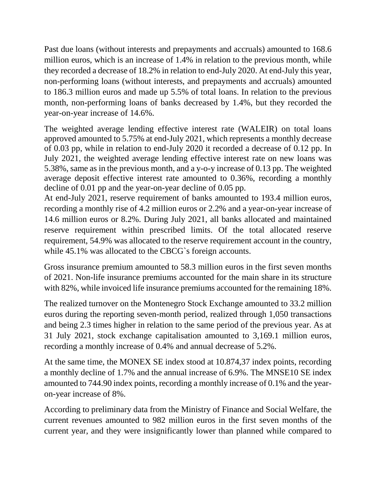Past due loans (without interests and prepayments and accruals) amounted to 168.6 million euros, which is an increase of 1.4% in relation to the previous month, while they recorded a decrease of 18.2% in relation to end-July 2020. At end-July this year, non-performing loans (without interests, and prepayments and accruals) amounted to 186.3 million euros and made up 5.5% of total loans. In relation to the previous month, non-performing loans of banks decreased by 1.4%, but they recorded the year-on-year increase of 14.6%.

The weighted average lending effective interest rate (WALEIR) on total loans approved amounted to 5.75% at end-July 2021, which represents a monthly decrease of 0.03 pp, while in relation to end-July 2020 it recorded a decrease of 0.12 pp. In July 2021, the weighted average lending effective interest rate on new loans was 5.38%, same as in the previous month, and a y-o-y increase of 0.13 pp. The weighted average deposit effective interest rate amounted to 0.36%, recording a monthly decline of 0.01 pp and the year-on-year decline of 0.05 pp.

At end-July 2021, reserve requirement of banks amounted to 193.4 million euros, recording a monthly rise of 4.2 million euros or 2.2% and a year-on-year increase of 14.6 million euros or 8.2%. During July 2021, all banks allocated and maintained reserve requirement within prescribed limits. Of the total allocated reserve requirement, 54.9% was allocated to the reserve requirement account in the country, while 45.1% was allocated to the CBCG`s foreign accounts.

Gross insurance premium amounted to 58.3 million euros in the first seven months of 2021. Non-life insurance premiums accounted for the main share in its structure with 82%, while invoiced life insurance premiums accounted for the remaining 18%.

The realized turnover on the Montenegro Stock Exchange amounted to 33.2 million euros during the reporting seven-month period, realized through 1,050 transactions and being 2.3 times higher in relation to the same period of the previous year. As at 31 July 2021, stock exchange capitalisation amounted to 3,169.1 million euros, recording a monthly increase of 0.4% and annual decrease of 5.2%.

At the same time, the MONEX SE index stood at 10.874,37 index points, recording a monthly decline of 1.7% and the annual increase of 6.9%. The MNSE10 SE index amounted to 744.90 index points, recording a monthly increase of 0.1% and the yearon-year increase of 8%.

According to preliminary data from the Ministry of Finance and Social Welfare, the current revenues amounted to 982 million euros in the first seven months of the current year, and they were insignificantly lower than planned while compared to